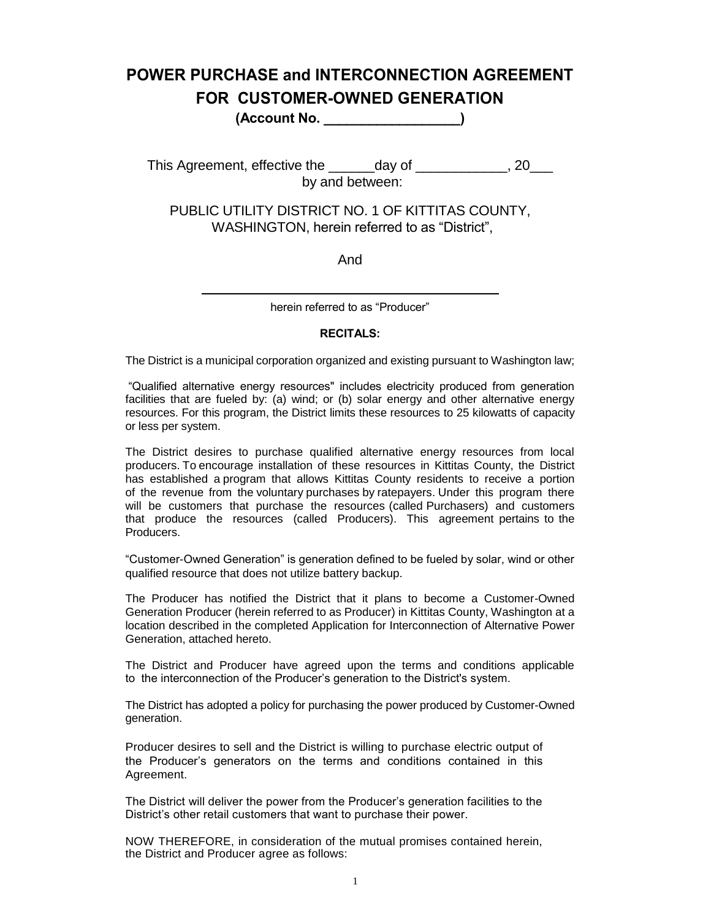# **POWER PURCHASE and INTERCONNECTION AGREEMENT FOR CUSTOMER-OWNED GENERATION**

**(Account No. \_\_\_\_\_\_\_\_\_\_\_\_\_\_\_\_\_\_)**

This Agreement, effective the \_\_\_\_\_\_day of \_\_\_\_\_\_\_\_\_\_\_, 20\_\_\_ by and between:

PUBLIC UTILITY DISTRICT NO. 1 OF KITTITAS COUNTY, WASHINGTON, herein referred to as "District",

And

herein referred to as "Producer"

#### **RECITALS:**

The District is a municipal corporation organized and existing pursuant to Washington law;

"Qualified alternative energy resources" includes electricity produced from generation facilities that are fueled by: (a) wind; or (b) solar energy and other alternative energy resources. For this program, the District limits these resources to 25 kilowatts of capacity or less per system.

The District desires to purchase qualified alternative energy resources from local producers. To encourage installation of these resources in Kittitas County, the District has established a program that allows Kittitas County residents to receive a portion of the revenue from the voluntary purchases by ratepayers. Under this program there will be customers that purchase the resources (called Purchasers) and customers that produce the resources (called Producers). This agreement pertains to the Producers.

"Customer-Owned Generation" is generation defined to be fueled by solar, wind or other qualified resource that does not utilize battery backup.

The Producer has notified the District that it plans to become a Customer-Owned Generation Producer (herein referred to as Producer) in Kittitas County, Washington at a location described in the completed Application for Interconnection of Alternative Power Generation, attached hereto.

The District and Producer have agreed upon the terms and conditions applicable to the interconnection of the Producer's generation to the District's system.

The District has adopted a policy for purchasing the power produced by Customer-Owned generation.

Producer desires to sell and the District is willing to purchase electric output of the Producer's generators on the terms and conditions contained in this Agreement.

The District will deliver the power from the Producer's generation facilities to the District's other retail customers that want to purchase their power.

NOW THEREFORE, in consideration of the mutual promises contained herein, the District and Producer agree as follows: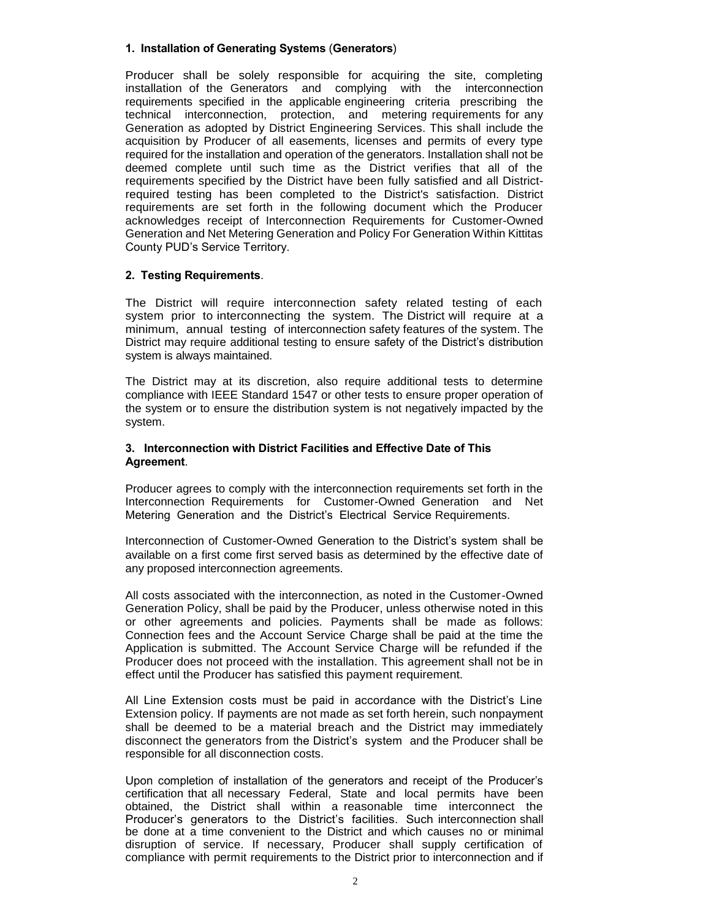#### **1. Installation of Generating Systems** (**Generators**)

Producer shall be solely responsible for acquiring the site, completing installation of the Generators and complying with the interconnection requirements specified in the applicable engineering criteria prescribing the technical interconnection, protection, and metering requirements for any Generation as adopted by District Engineering Services. This shall include the acquisition by Producer of all easements, licenses and permits of every type required for the installation and operation of the generators. Installation shall not be deemed complete until such time as the District verifies that all of the requirements specified by the District have been fully satisfied and all Districtrequired testing has been completed to the District's satisfaction. District requirements are set forth in the following document which the Producer acknowledges receipt of Interconnection Requirements for Customer-Owned Generation and Net Metering Generation and Policy For Generation Within Kittitas County PUD's Service Territory.

#### **2. Testing Requirements**.

The District will require interconnection safety related testing of each system prior to interconnecting the system. The District will require at a minimum, annual testing of interconnection safety features of the system. The District may require additional testing to ensure safety of the District's distribution system is always maintained.

The District may at its discretion, also require additional tests to determine compliance with IEEE Standard 1547 or other tests to ensure proper operation of the system or to ensure the distribution system is not negatively impacted by the system.

#### **3. Interconnection with District Facilities and Effective Date of This Agreement**.

Producer agrees to comply with the interconnection requirements set forth in the Interconnection Requirements for Customer-Owned Generation and Net Metering Generation and the District's Electrical Service Requirements.

Interconnection of Customer-Owned Generation to the District's system shall be available on a first come first served basis as determined by the effective date of any proposed interconnection agreements.

All costs associated with the interconnection, as noted in the Customer-Owned Generation Policy, shall be paid by the Producer, unless otherwise noted in this or other agreements and policies. Payments shall be made as follows: Connection fees and the Account Service Charge shall be paid at the time the Application is submitted. The Account Service Charge will be refunded if the Producer does not proceed with the installation. This agreement shall not be in effect until the Producer has satisfied this payment requirement.

All Line Extension costs must be paid in accordance with the District's Line Extension policy. If payments are not made as set forth herein, such nonpayment shall be deemed to be a material breach and the District may immediately disconnect the generators from the District's system and the Producer shall be responsible for all disconnection costs.

Upon completion of installation of the generators and receipt of the Producer's certification that all necessary Federal, State and local permits have been obtained, the District shall within a reasonable time interconnect the Producer's generators to the District's facilities. Such interconnection shall be done at a time convenient to the District and which causes no or minimal disruption of service. If necessary, Producer shall supply certification of compliance with permit requirements to the District prior to interconnection and if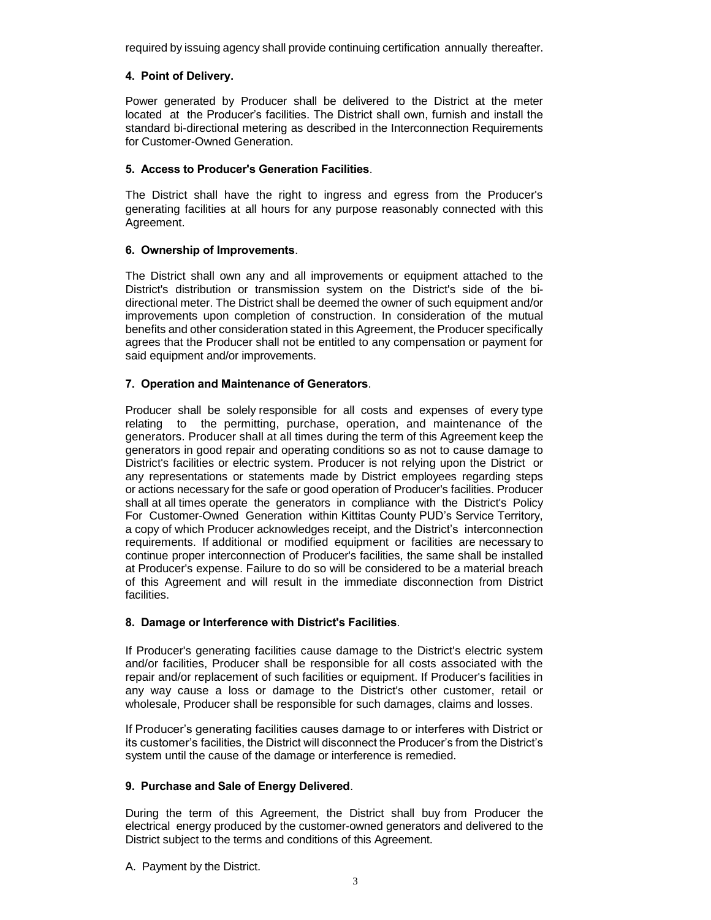required by issuing agency shall provide continuing certification annually thereafter.

### **4. Point of Delivery.**

Power generated by Producer shall be delivered to the District at the meter located at the Producer's facilities. The District shall own, furnish and install the standard bi-directional metering as described in the Interconnection Requirements for Customer-Owned Generation.

#### **5. Access to Producer's Generation Facilities**.

The District shall have the right to ingress and egress from the Producer's generating facilities at all hours for any purpose reasonably connected with this Agreement.

#### **6. Ownership of Improvements**.

The District shall own any and all improvements or equipment attached to the District's distribution or transmission system on the District's side of the bidirectional meter. The District shall be deemed the owner of such equipment and/or improvements upon completion of construction. In consideration of the mutual benefits and other consideration stated in this Agreement, the Producer specifically agrees that the Producer shall not be entitled to any compensation or payment for said equipment and/or improvements.

#### **7. Operation and Maintenance of Generators**.

Producer shall be solely responsible for all costs and expenses of every type relating to the permitting, purchase, operation, and maintenance of the generators. Producer shall at all times during the term of this Agreement keep the generators in good repair and operating conditions so as not to cause damage to District's facilities or electric system. Producer is not relying upon the District or any representations or statements made by District employees regarding steps or actions necessary for the safe or good operation of Producer's facilities. Producer shall at all times operate the generators in compliance with the District's Policy For Customer-Owned Generation within Kittitas County PUD's Service Territory, a copy of which Producer acknowledges receipt, and the District's interconnection requirements. If additional or modified equipment or facilities are necessary to continue proper interconnection of Producer's facilities, the same shall be installed at Producer's expense. Failure to do so will be considered to be a material breach of this Agreement and will result in the immediate disconnection from District facilities.

# **8. Damage or Interference with District's Facilities**.

If Producer's generating facilities cause damage to the District's electric system and/or facilities, Producer shall be responsible for all costs associated with the repair and/or replacement of such facilities or equipment. If Producer's facilities in any way cause a loss or damage to the District's other customer, retail or wholesale, Producer shall be responsible for such damages, claims and losses.

If Producer's generating facilities causes damage to or interferes with District or its customer's facilities, the District will disconnect the Producer's from the District's system until the cause of the damage or interference is remedied.

# **9. Purchase and Sale of Energy Delivered**.

During the term of this Agreement, the District shall buy from Producer the electrical energy produced by the customer-owned generators and delivered to the District subject to the terms and conditions of this Agreement.

A. Payment by the District.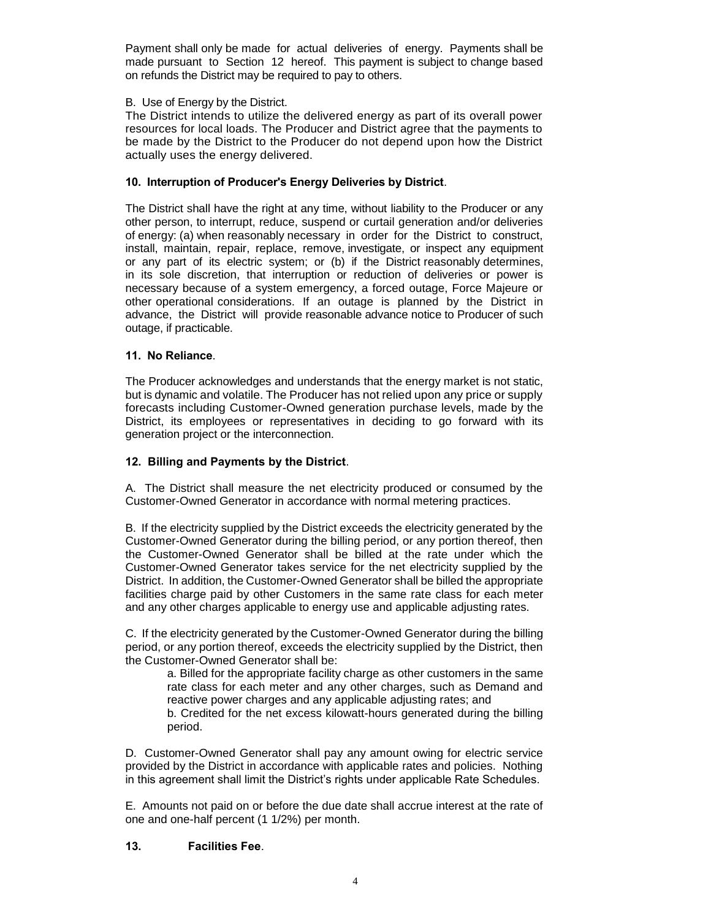Payment shall only be made for actual deliveries of energy. Payments shall be made pursuant to Section 12 hereof. This payment is subject to change based on refunds the District may be required to pay to others.

#### B. Use of Energy by the District.

The District intends to utilize the delivered energy as part of its overall power resources for local loads. The Producer and District agree that the payments to be made by the District to the Producer do not depend upon how the District actually uses the energy delivered.

#### **10. Interruption of Producer's Energy Deliveries by District**.

The District shall have the right at any time, without liability to the Producer or any other person, to interrupt, reduce, suspend or curtail generation and/or deliveries of energy: (a) when reasonably necessary in order for the District to construct, install, maintain, repair, replace, remove, investigate, or inspect any equipment or any part of its electric system; or (b) if the District reasonably determines, in its sole discretion, that interruption or reduction of deliveries or power is necessary because of a system emergency, a forced outage, Force Majeure or other operational considerations. If an outage is planned by the District in advance, the District will provide reasonable advance notice to Producer of such outage, if practicable.

#### **11. No Reliance**.

The Producer acknowledges and understands that the energy market is not static, but is dynamic and volatile. The Producer has not relied upon any price or supply forecasts including Customer-Owned generation purchase levels, made by the District, its employees or representatives in deciding to go forward with its generation project or the interconnection.

#### **12. Billing and Payments by the District**.

A. The District shall measure the net electricity produced or consumed by the Customer-Owned Generator in accordance with normal metering practices.

B. If the electricity supplied by the District exceeds the electricity generated by the Customer-Owned Generator during the billing period, or any portion thereof, then the Customer-Owned Generator shall be billed at the rate under which the Customer-Owned Generator takes service for the net electricity supplied by the District. In addition, the Customer-Owned Generator shall be billed the appropriate facilities charge paid by other Customers in the same rate class for each meter and any other charges applicable to energy use and applicable adjusting rates.

C. If the electricity generated by the Customer-Owned Generator during the billing period, or any portion thereof, exceeds the electricity supplied by the District, then the Customer-Owned Generator shall be:

a. Billed for the appropriate facility charge as other customers in the same rate class for each meter and any other charges, such as Demand and reactive power charges and any applicable adjusting rates; and

b. Credited for the net excess kilowatt-hours generated during the billing period.

D. Customer-Owned Generator shall pay any amount owing for electric service provided by the District in accordance with applicable rates and policies. Nothing in this agreement shall limit the District's rights under applicable Rate Schedules.

E. Amounts not paid on or before the due date shall accrue interest at the rate of one and one-half percent (1 1/2%) per month.

#### **13. Facilities Fee**.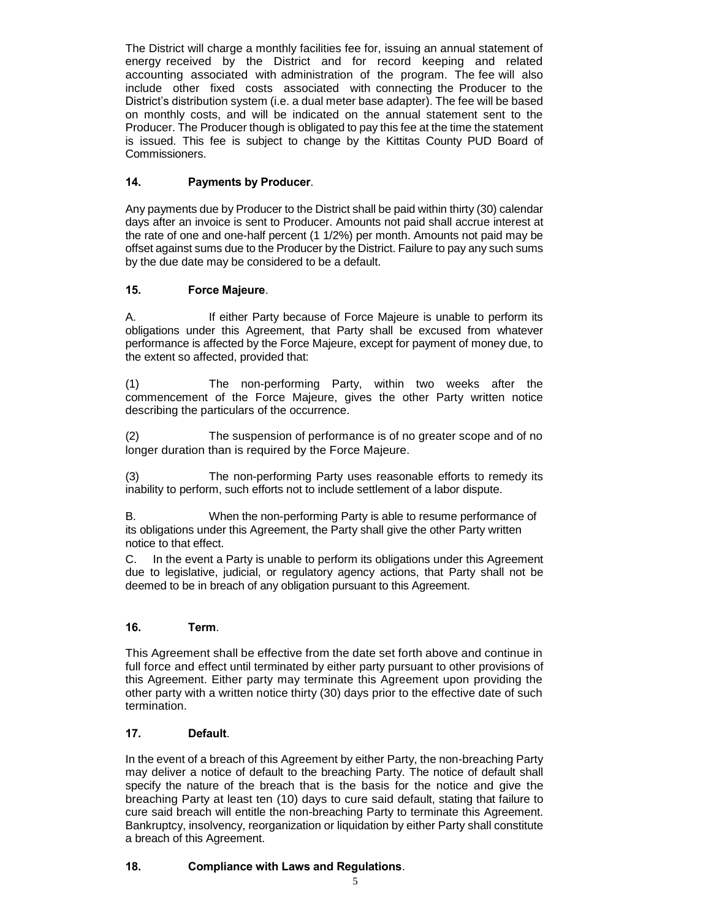The District will charge a monthly facilities fee for, issuing an annual statement of energy received by the District and for record keeping and related accounting associated with administration of the program. The fee will also include other fixed costs associated with connecting the Producer to the District's distribution system (i.e. a dual meter base adapter). The fee will be based on monthly costs, and will be indicated on the annual statement sent to the Producer. The Producer though is obligated to pay this fee at the time the statement is issued. This fee is subject to change by the Kittitas County PUD Board of Commissioners.

# **14. Payments by Producer**.

Any payments due by Producer to the District shall be paid within thirty (30) calendar days after an invoice is sent to Producer. Amounts not paid shall accrue interest at the rate of one and one-half percent (1 1/2%) per month. Amounts not paid may be offset against sums due to the Producer by the District. Failure to pay any such sums by the due date may be considered to be a default.

# **15. Force Majeure**.

A. If either Party because of Force Majeure is unable to perform its obligations under this Agreement, that Party shall be excused from whatever performance is affected by the Force Majeure, except for payment of money due, to the extent so affected, provided that:

(1) The non-performing Party, within two weeks after the commencement of the Force Majeure, gives the other Party written notice describing the particulars of the occurrence.

(2) The suspension of performance is of no greater scope and of no longer duration than is required by the Force Majeure.

(3) The non-performing Party uses reasonable efforts to remedy its inability to perform, such efforts not to include settlement of a labor dispute.

B. When the non-performing Party is able to resume performance of its obligations under this Agreement, the Party shall give the other Party written notice to that effect.

C. In the event a Party is unable to perform its obligations under this Agreement due to legislative, judicial, or regulatory agency actions, that Party shall not be deemed to be in breach of any obligation pursuant to this Agreement.

# **16. Term**.

This Agreement shall be effective from the date set forth above and continue in full force and effect until terminated by either party pursuant to other provisions of this Agreement. Either party may terminate this Agreement upon providing the other party with a written notice thirty (30) days prior to the effective date of such termination.

# **17. Default**.

In the event of a breach of this Agreement by either Party, the non-breaching Party may deliver a notice of default to the breaching Party. The notice of default shall specify the nature of the breach that is the basis for the notice and give the breaching Party at least ten (10) days to cure said default, stating that failure to cure said breach will entitle the non-breaching Party to terminate this Agreement. Bankruptcy, insolvency, reorganization or liquidation by either Party shall constitute a breach of this Agreement.

# **18. Compliance with Laws and Regulations**.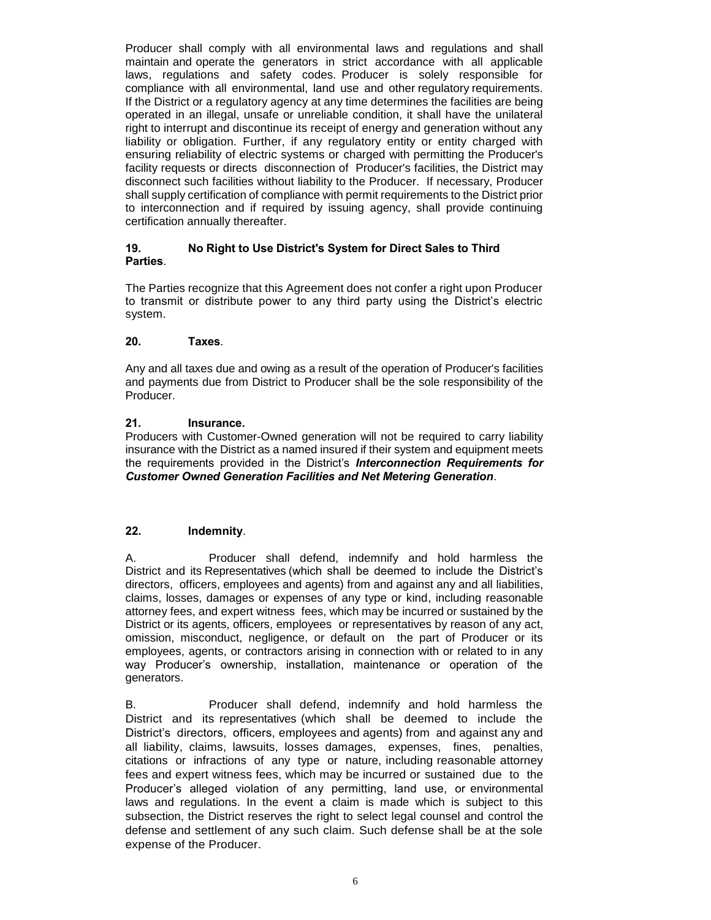Producer shall comply with all environmental laws and regulations and shall maintain and operate the generators in strict accordance with all applicable laws, regulations and safety codes. Producer is solely responsible for compliance with all environmental, land use and other regulatory requirements. If the District or a regulatory agency at any time determines the facilities are being operated in an illegal, unsafe or unreliable condition, it shall have the unilateral right to interrupt and discontinue its receipt of energy and generation without any liability or obligation. Further, if any regulatory entity or entity charged with ensuring reliability of electric systems or charged with permitting the Producer's facility requests or directs disconnection of Producer's facilities, the District may disconnect such facilities without liability to the Producer. If necessary, Producer shall supply certification of compliance with permit requirements to the District prior to interconnection and if required by issuing agency, shall provide continuing certification annually thereafter.

### **19. No Right to Use District's System for Direct Sales to Third Parties**.

The Parties recognize that this Agreement does not confer a right upon Producer to transmit or distribute power to any third party using the District's electric system.

# **20. Taxes**.

Any and all taxes due and owing as a result of the operation of Producer's facilities and payments due from District to Producer shall be the sole responsibility of the Producer.

#### **21. Insurance.**

Producers with Customer-Owned generation will not be required to carry liability insurance with the District as a named insured if their system and equipment meets the requirements provided in the District's *Interconnection Requirements for Customer Owned Generation Facilities and Net Metering Generation*.

# **22. Indemnity**.

A. Producer shall defend, indemnify and hold harmless the District and its Representatives (which shall be deemed to include the District's directors, officers, employees and agents) from and against any and all liabilities, claims, losses, damages or expenses of any type or kind, including reasonable attorney fees, and expert witness fees, which may be incurred or sustained by the District or its agents, officers, employees or representatives by reason of any act, omission, misconduct, negligence, or default on the part of Producer or its employees, agents, or contractors arising in connection with or related to in any way Producer's ownership, installation, maintenance or operation of the generators.

B. Producer shall defend, indemnify and hold harmless the District and its representatives (which shall be deemed to include the District's directors, officers, employees and agents) from and against any and all liability, claims, lawsuits, losses damages, expenses, fines, penalties, citations or infractions of any type or nature, including reasonable attorney fees and expert witness fees, which may be incurred or sustained due to the Producer's alleged violation of any permitting, land use, or environmental laws and regulations. In the event a claim is made which is subject to this subsection, the District reserves the right to select legal counsel and control the defense and settlement of any such claim. Such defense shall be at the sole expense of the Producer.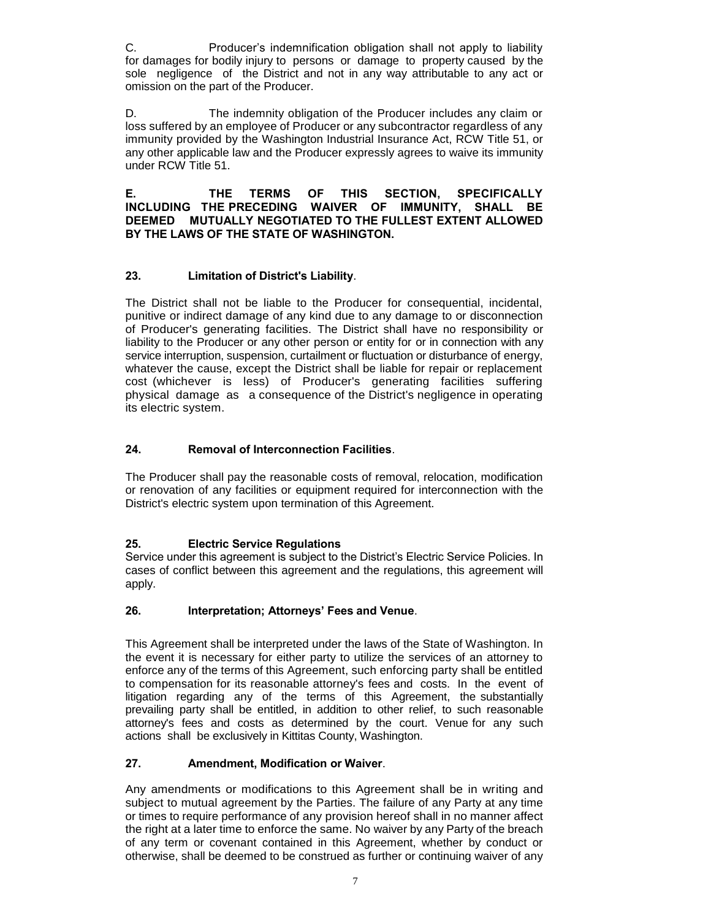C. Producer's indemnification obligation shall not apply to liability for damages for bodily injury to persons or damage to property caused by the sole negligence of the District and not in any way attributable to any act or omission on the part of the Producer.

D. The indemnity obligation of the Producer includes any claim or loss suffered by an employee of Producer or any subcontractor regardless of any immunity provided by the Washington Industrial Insurance Act, RCW Title 51, or any other applicable law and the Producer expressly agrees to waive its immunity under RCW Title 51.

**E. THE TERMS OF THIS SECTION, SPECIFICALLY INCLUDING THE PRECEDING WAIVER OF IMMUNITY, SHALL BE DEEMED MUTUALLY NEGOTIATED TO THE FULLEST EXTENT ALLOWED BY THE LAWS OF THE STATE OF WASHINGTON.** 

# **23. Limitation of District's Liability**.

The District shall not be liable to the Producer for consequential, incidental, punitive or indirect damage of any kind due to any damage to or disconnection of Producer's generating facilities. The District shall have no responsibility or liability to the Producer or any other person or entity for or in connection with any service interruption, suspension, curtailment or fluctuation or disturbance of energy, whatever the cause, except the District shall be liable for repair or replacement cost (whichever is less) of Producer's generating facilities suffering physical damage as a consequence of the District's negligence in operating its electric system.

# **24. Removal of Interconnection Facilities**.

The Producer shall pay the reasonable costs of removal, relocation, modification or renovation of any facilities or equipment required for interconnection with the District's electric system upon termination of this Agreement.

# **25. Electric Service Regulations**

Service under this agreement is subject to the District's Electric Service Policies. In cases of conflict between this agreement and the regulations, this agreement will apply.

# **26. Interpretation; Attorneys' Fees and Venue**.

This Agreement shall be interpreted under the laws of the State of Washington. In the event it is necessary for either party to utilize the services of an attorney to enforce any of the terms of this Agreement, such enforcing party shall be entitled to compensation for its reasonable attorney's fees and costs. In the event of litigation regarding any of the terms of this Agreement, the substantially prevailing party shall be entitled, in addition to other relief, to such reasonable attorney's fees and costs as determined by the court. Venue for any such actions shall be exclusively in Kittitas County, Washington.

# **27. Amendment, Modification or Waiver**.

Any amendments or modifications to this Agreement shall be in writing and subject to mutual agreement by the Parties. The failure of any Party at any time or times to require performance of any provision hereof shall in no manner affect the right at a later time to enforce the same. No waiver by any Party of the breach of any term or covenant contained in this Agreement, whether by conduct or otherwise, shall be deemed to be construed as further or continuing waiver of any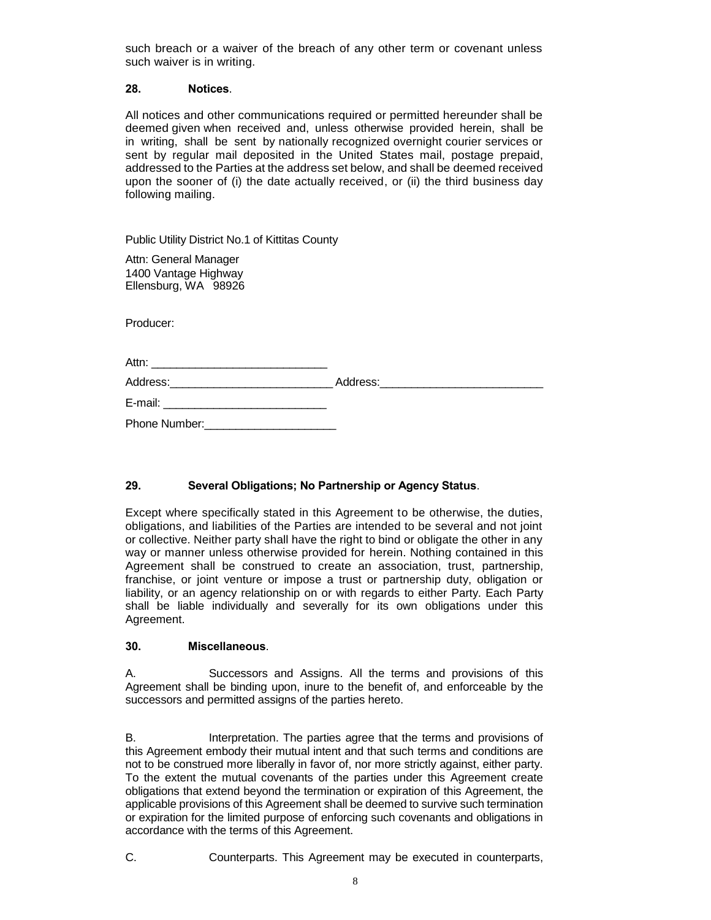such breach or a waiver of the breach of any other term or covenant unless such waiver is in writing.

#### **28. Notices**.

All notices and other communications required or permitted hereunder shall be deemed given when received and, unless otherwise provided herein, shall be in writing, shall be sent by nationally recognized overnight courier services or sent by regular mail deposited in the United States mail, postage prepaid, addressed to the Parties at the address set below, and shall be deemed received upon the sooner of (i) the date actually received, or (ii) the third business day following mailing.

Public Utility District No.1 of Kittitas County

Attn: General Manager 1400 Vantage Highway Ellensburg, WA 98926

Producer:

| Attn:<br><u> 1980 - Jan Salam Barat, masjid a shekara ta 1980 a shekara ta 1980 a shekara ta 1980 a shekara ta 1980 a shek</u>                                                                                                      |  |
|-------------------------------------------------------------------------------------------------------------------------------------------------------------------------------------------------------------------------------------|--|
| Address:___________________________                                                                                                                                                                                                 |  |
| E-mail:<br><u> 1980 - John Stone, Amerikaansk politiker (</u>                                                                                                                                                                       |  |
| <b>Phone Number:</b> The Contract of the Contract of the Contract of the Contract of the Contract of the Contract of the Contract of the Contract of the Contract of the Contract of the Contract of the Contract of the Contract o |  |

# **29. Several Obligations; No Partnership or Agency Status**.

Except where specifically stated in this Agreement to be otherwise, the duties, obligations, and liabilities of the Parties are intended to be several and not joint or collective. Neither party shall have the right to bind or obligate the other in any way or manner unless otherwise provided for herein. Nothing contained in this Agreement shall be construed to create an association, trust, partnership, franchise, or joint venture or impose a trust or partnership duty, obligation or liability, or an agency relationship on or with regards to either Party. Each Party shall be liable individually and severally for its own obligations under this Agreement.

#### **30. Miscellaneous**.

A. Successors and Assigns. All the terms and provisions of this Agreement shall be binding upon, inure to the benefit of, and enforceable by the successors and permitted assigns of the parties hereto.

B. Interpretation. The parties agree that the terms and provisions of this Agreement embody their mutual intent and that such terms and conditions are not to be construed more liberally in favor of, nor more strictly against, either party. To the extent the mutual covenants of the parties under this Agreement create obligations that extend beyond the termination or expiration of this Agreement, the applicable provisions of this Agreement shall be deemed to survive such termination or expiration for the limited purpose of enforcing such covenants and obligations in accordance with the terms of this Agreement.

C. Counterparts. This Agreement may be executed in counterparts,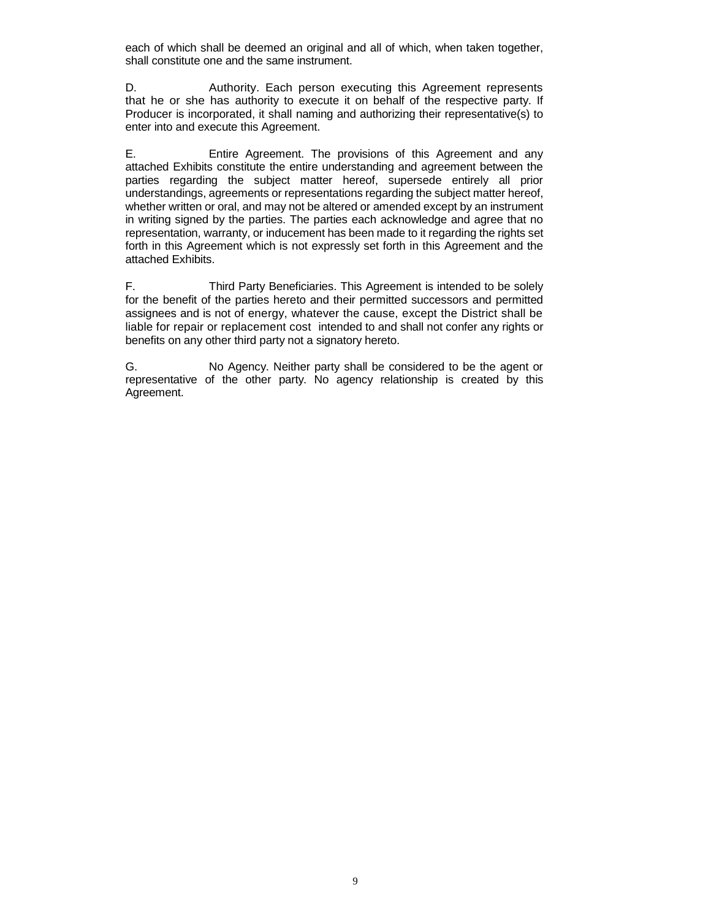each of which shall be deemed an original and all of which, when taken together, shall constitute one and the same instrument.

D. **Authority.** Each person executing this Agreement represents that he or she has authority to execute it on behalf of the respective party. If Producer is incorporated, it shall naming and authorizing their representative(s) to enter into and execute this Agreement.

E. Entire Agreement. The provisions of this Agreement and any attached Exhibits constitute the entire understanding and agreement between the parties regarding the subject matter hereof, supersede entirely all prior understandings, agreements or representations regarding the subject matter hereof, whether written or oral, and may not be altered or amended except by an instrument in writing signed by the parties. The parties each acknowledge and agree that no representation, warranty, or inducement has been made to it regarding the rights set forth in this Agreement which is not expressly set forth in this Agreement and the attached Exhibits.

F. Third Party Beneficiaries. This Agreement is intended to be solely for the benefit of the parties hereto and their permitted successors and permitted assignees and is not of energy, whatever the cause, except the District shall be liable for repair or replacement cost intended to and shall not confer any rights or benefits on any other third party not a signatory hereto.

G. No Agency. Neither party shall be considered to be the agent or representative of the other party. No agency relationship is created by this Agreement.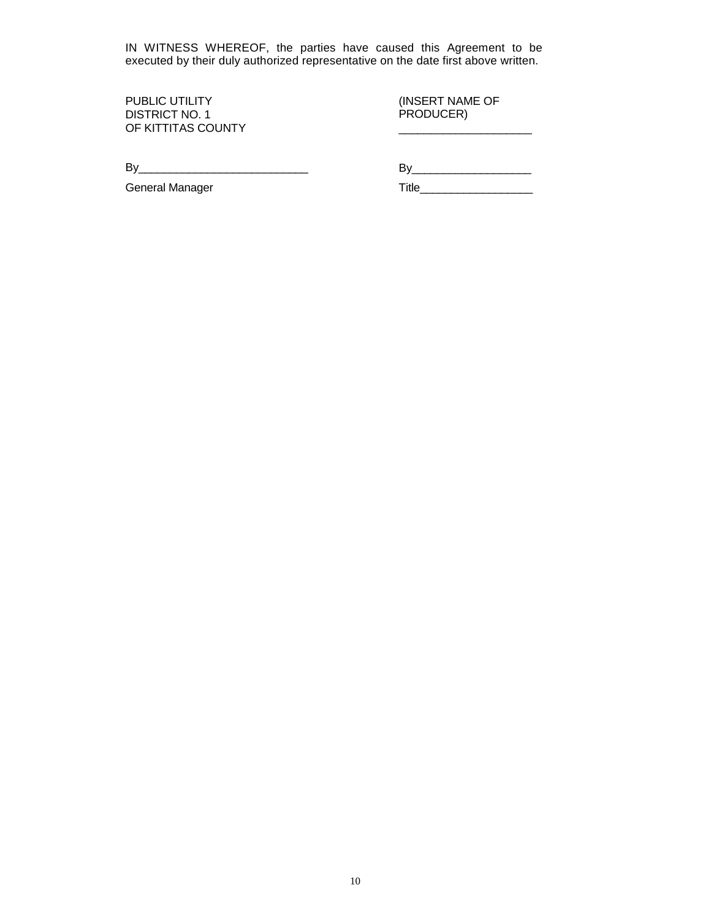IN WITNESS WHEREOF, the parties have caused this Agreement to be executed by their duly authorized representative on the date first above written.

PUBLIC UTILITY DISTRICT NO. 1 OF KITTITAS COUNTY (INSERT NAME OF PRODUCER)  $\overline{\phantom{a}}$ 

By\_\_\_\_\_\_\_\_\_\_\_\_\_\_\_\_\_\_\_\_\_\_\_\_\_\_\_

By\_\_\_\_\_\_\_\_\_\_\_\_\_\_\_\_\_\_\_

General Manager

Title\_\_\_\_\_\_\_\_\_\_\_\_\_\_\_\_\_\_